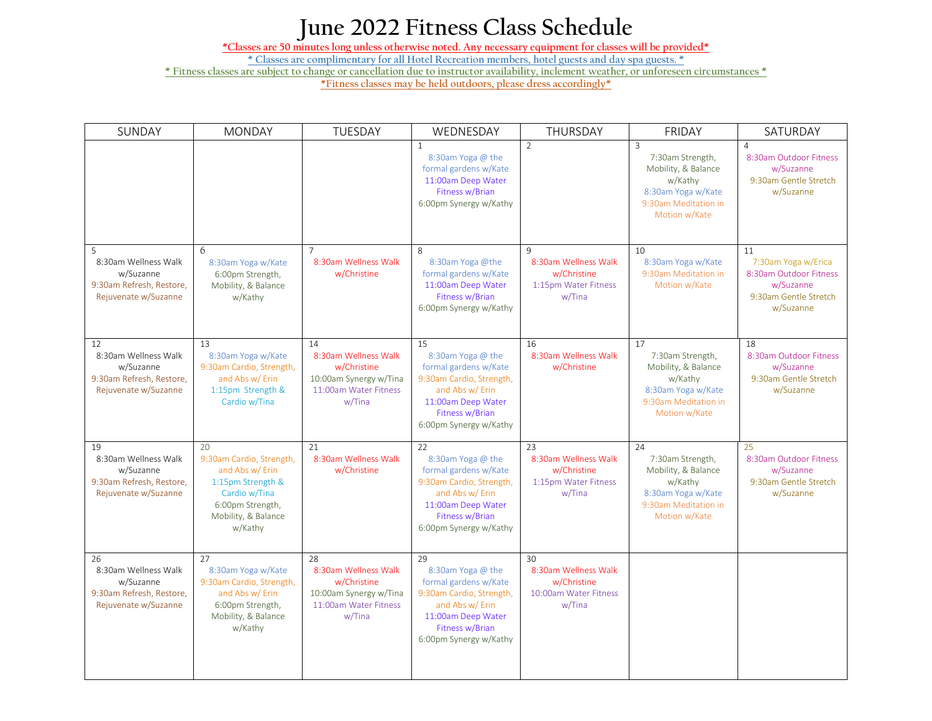## **June 2022 Fitness Class Schedule**

**\*Classes are 50 minutes long unless otherwise noted. Any necessary equipment for classes will be provided\***

**\* Classes are complimentary for all Hotel Recreation members, hotel guests and day spa guests. \***

**\* Fitness classes are subject to change or cancellation due to instructor availability, inclement weather, or unforeseen circumstances \***

**\*Fitness classes may be held outdoors, please dress accordingly\*** 

| SUNDAY                                                                                      | <b>MONDAY</b>                                                                                                                                 | TUESDAY                                                                                                | WEDNESDAY                                                                                                                                                          | THURSDAY                                                                              | <b>FRIDAY</b>                                                                                                                       | SATURDAY                                                                                               |
|---------------------------------------------------------------------------------------------|-----------------------------------------------------------------------------------------------------------------------------------------------|--------------------------------------------------------------------------------------------------------|--------------------------------------------------------------------------------------------------------------------------------------------------------------------|---------------------------------------------------------------------------------------|-------------------------------------------------------------------------------------------------------------------------------------|--------------------------------------------------------------------------------------------------------|
|                                                                                             |                                                                                                                                               |                                                                                                        | $\mathbf{1}$<br>8:30am Yoga @ the<br>formal gardens w/Kate<br>11:00am Deep Water<br>Fitness w/Brian<br>6:00pm Synergy w/Kathy                                      | $\overline{2}$                                                                        | $\overline{3}$<br>7:30am Strength,<br>Mobility, & Balance<br>w/Kathy<br>8:30am Yoga w/Kate<br>9:30am Meditation in<br>Motion w/Kate | $\overline{4}$<br>8:30am Outdoor Fitness<br>w/Suzanne<br>9:30am Gentle Stretch<br>w/Suzanne            |
| 5<br>8:30am Wellness Walk<br>w/Suzanne<br>9:30am Refresh, Restore,<br>Rejuvenate w/Suzanne  | 6<br>8:30am Yoga w/Kate<br>6:00pm Strength,<br>Mobility, & Balance<br>w/Kathy                                                                 | $\overline{7}$<br>8:30am Wellness Walk<br>w/Christine                                                  | 8<br>8:30am Yoga @the<br>formal gardens w/Kate<br>11:00am Deep Water<br>Fitness w/Brian<br>6:00pm Synergy w/Kathy                                                  | $\mathsf{q}$<br>8:30am Wellness Walk<br>w/Christine<br>1:15pm Water Fitness<br>w/Tina | 10<br>8:30am Yoga w/Kate<br>9:30am Meditation in<br>Motion w/Kate                                                                   | 11<br>7:30am Yoga w/Erica<br>8:30am Outdoor Fitness<br>w/Suzanne<br>9:30am Gentle Stretch<br>w/Suzanne |
| 12<br>8:30am Wellness Walk<br>w/Suzanne<br>9:30am Refresh, Restore,<br>Rejuvenate w/Suzanne | 13<br>8:30am Yoga w/Kate<br>9:30am Cardio, Strength,<br>and Abs w/ Erin<br>1:15pm Strength &<br>Cardio w/Tina                                 | 14<br>8:30am Wellness Walk<br>w/Christine<br>10:00am Synergy w/Tina<br>11:00am Water Fitness<br>w/Tina | 15<br>8:30am Yoga @ the<br>formal gardens w/Kate<br>9:30am Cardio, Strength,<br>and Abs w/ Erin<br>11:00am Deep Water<br>Fitness w/Brian<br>6:00pm Synergy w/Kathy | 16<br>8:30am Wellness Walk<br>w/Christine                                             | 17<br>7:30am Strength,<br>Mobility, & Balance<br>w/Kathy<br>8:30am Yoga w/Kate<br>9:30am Meditation in<br>Motion w/Kate             | 18<br>8:30am Outdoor Fitness<br>w/Suzanne<br>9:30am Gentle Stretch<br>w/Suzanne                        |
| 19<br>8:30am Wellness Walk<br>w/Suzanne<br>9:30am Refresh, Restore,<br>Rejuvenate w/Suzanne | 20<br>9:30am Cardio, Strength,<br>and Abs w/ Erin<br>1:15pm Strength &<br>Cardio w/Tina<br>6:00pm Strength,<br>Mobility, & Balance<br>w/Kathy | 21<br>8:30am Wellness Walk<br>w/Christine                                                              | 22<br>8:30am Yoga @ the<br>formal gardens w/Kate<br>9:30am Cardio, Strength,<br>and Abs w/ Erin<br>11:00am Deep Water<br>Fitness w/Brian<br>6:00pm Synergy w/Kathy | 23<br>8:30am Wellness Walk<br>w/Christine<br>1:15pm Water Fitness<br>w/Tina           | 24<br>7:30am Strength,<br>Mobility, & Balance<br>w/Kathy<br>8:30am Yoga w/Kate<br>9:30am Meditation in<br>Motion w/Kate             | 25<br>8:30am Outdoor Fitness<br>w/Suzanne<br>9:30am Gentle Stretch<br>w/Suzanne                        |
| 26<br>8:30am Wellness Walk<br>w/Suzanne<br>9:30am Refresh, Restore,<br>Rejuvenate w/Suzanne | 27<br>8:30am Yoga w/Kate<br>9:30am Cardio, Strength,<br>and Abs w/ Erin<br>6:00pm Strength,<br>Mobility, & Balance<br>w/Kathy                 | 28<br>8:30am Wellness Walk<br>w/Christine<br>10:00am Synergy w/Tina<br>11:00am Water Fitness<br>w/Tina | 29<br>8:30am Yoga @ the<br>formal gardens w/Kate<br>9:30am Cardio, Strength,<br>and Abs w/ Erin<br>11:00am Deep Water<br>Fitness w/Brian<br>6:00pm Synergy w/Kathy | 30<br>8:30am Wellness Walk<br>w/Christine<br>10:00am Water Fitness<br>w/Tina          |                                                                                                                                     |                                                                                                        |